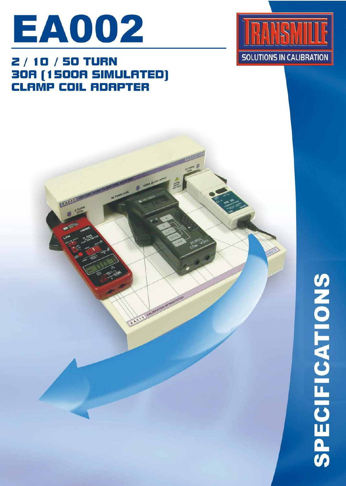

## **2/10/50 TURN** 30A (1500A SIMULATED)<br>CLAMP COIL ADAPTER

EADY



## **SPECIFICATIONS**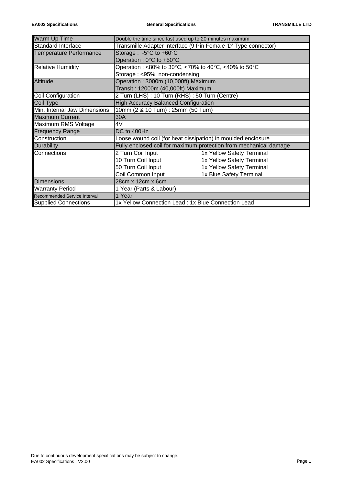| <b>Warm Up Time</b>            | Double the time since last used up to 20 minutes maximum          |  |  |  |  |  |  |
|--------------------------------|-------------------------------------------------------------------|--|--|--|--|--|--|
| Standard Interface             | Transmille Adapter Interface (9 Pin Female 'D' Type connector)    |  |  |  |  |  |  |
| <b>Temperature Performance</b> | Storage : $-5^{\circ}$ C to $+60^{\circ}$ C                       |  |  |  |  |  |  |
|                                | Operation: 0°C to +50°C                                           |  |  |  |  |  |  |
| <b>Relative Humidity</b>       | Operation: <80% to 30°C, <70% to 40°C, <40% to 50°C               |  |  |  |  |  |  |
|                                | Storage: <95%, non-condensing                                     |  |  |  |  |  |  |
| Altitude                       | Operation: 3000m (10,000ft) Maximum                               |  |  |  |  |  |  |
|                                | Transit: 12000m (40,000ft) Maximum                                |  |  |  |  |  |  |
| Coil Configuration             | 2 Turn (LHS) : 10 Turn (RHS) : 50 Turn (Centre)                   |  |  |  |  |  |  |
| Coil Type                      | <b>High Accuracy Balanced Configuration</b>                       |  |  |  |  |  |  |
| Min. Internal Jaw Dimensions   | 10mm (2 & 10 Turn) : 25mm (50 Turn)                               |  |  |  |  |  |  |
| <b>Maximum Current</b>         | 30A                                                               |  |  |  |  |  |  |
| Maximum RMS Voltage            | 4V                                                                |  |  |  |  |  |  |
| <b>Frequency Range</b>         | DC to 400Hz                                                       |  |  |  |  |  |  |
| Construction                   | Loose wound coil (for heat dissipation) in moulded enclosure      |  |  |  |  |  |  |
| Durability                     | Fully enclosed coil for maximum protection from mechanical damage |  |  |  |  |  |  |
| Connections                    | 2 Turn Coil Input<br>1x Yellow Safety Terminal                    |  |  |  |  |  |  |
|                                | 10 Turn Coil Input<br>1x Yellow Safety Terminal                   |  |  |  |  |  |  |
|                                | 50 Turn Coil Input<br>1x Yellow Safety Terminal                   |  |  |  |  |  |  |
|                                | Coil Common Input<br>1x Blue Safety Terminal                      |  |  |  |  |  |  |
| <b>Dimensions</b>              | 28cm x 12cm x 6cm                                                 |  |  |  |  |  |  |
| <b>Warranty Period</b>         | 1 Year (Parts & Labour)                                           |  |  |  |  |  |  |
| Recommended Service Interval   | 1 Year                                                            |  |  |  |  |  |  |
| <b>Supplied Connections</b>    | 1x Yellow Connection Lead : 1x Blue Connection Lead               |  |  |  |  |  |  |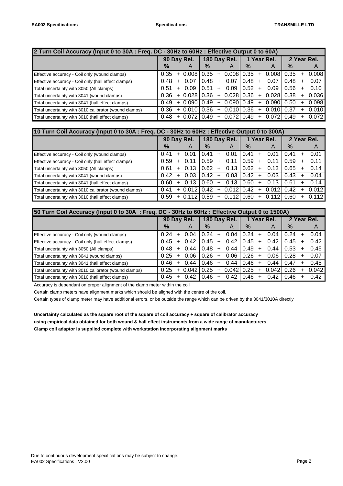| 2 Turn Coil Accuracy (Input 0 to 30A : Freq. DC - 30Hz to 60Hz : Effective Output 0 to 60A) |             |           |               |               |           |              |           |     |                                     |      |  |                |
|---------------------------------------------------------------------------------------------|-------------|-----------|---------------|---------------|-----------|--------------|-----------|-----|-------------------------------------|------|--|----------------|
|                                                                                             | 90 Day Rel. |           | 180 Day Rel.  |               |           | 1 Year Rel.  |           |     | 2 Year Rel.                         |      |  |                |
|                                                                                             | %           |           | A             | $\frac{9}{6}$ |           | A            | $\%$      |     | A                                   | $\%$ |  | $\overline{A}$ |
| Effective accuracy - Coil only (wound clamps)                                               | 0.35        |           | $+0.008$      | 0.35          | $+$       | $0.008$ 0.35 |           | $+$ | 0.0081                              | 0.35 |  | 0.008          |
| Effective accuracy - Coil only (hall effect clamps)                                         | 0.48        | $\ddot{}$ | 0.07          | 0.48          | ÷         | 0.07         | 0.48      | $+$ | 0.07                                | 0.48 |  | 0.07           |
| Total uncertainty with 3050 (All clamps)                                                    | 0.51        | $\ddot{}$ | 0.09          | 0.51          | $\ddot{}$ | 0.09         | $10.52 +$ |     | 0.09                                | 0.56 |  | 0.10           |
| Total uncertainty with 3041 (wound clamps)                                                  | 0.36        |           | $+0.028$      | 0.36          | $+$       | 0.028  0.36  |           | $+$ | 0.028                               | 0.38 |  | 0.036          |
| Total uncertainty with 3041 (hall effect clamps)                                            | 0.49        |           | $+0.090$      | 0.49          | $\ddot{}$ | 0.090  0.49  |           | $+$ | 0.090                               | 0.50 |  | 0.098          |
| Total uncertainty with 3010 calibrator (wound clamps)                                       | 0.36        |           | $+0.010$      | 0.36          | $\ddot{}$ | 0.010 0.36   |           | $+$ | 0.010                               | 0.37 |  | 0.010          |
| Total uncertainty with 3010 (hall effect clamps)                                            | 0.48        |           | $+0.072$ 0.49 |               | $+$       |              |           |     | $0.072$   $0.49$ + $0.072$   $0.49$ |      |  | 0.072          |

| 10 Turn Coil Accuracy (Input 0 to 30A : Freq. DC - 30Hz to 60Hz : Effective Output 0 to 300A) |             |           |               |               |    |             |      |           |             |      |  |       |
|-----------------------------------------------------------------------------------------------|-------------|-----------|---------------|---------------|----|-------------|------|-----------|-------------|------|--|-------|
|                                                                                               | 90 Day Rel. |           | 180 Day Rel.  |               |    | 1 Year Rel. |      |           | 2 Year Rel. |      |  |       |
|                                                                                               | $\%$        |           | A             | $\frac{9}{6}$ |    | A           | $\%$ |           | A           | $\%$ |  | A     |
| Effective accuracy - Coil only (wound clamps)                                                 | 0.41        |           | 0.01          | 0.41          |    | 0.01        | 0.41 |           | 0.01        | 0.41 |  | 0.01  |
| Effective accuracy - Coil only (hall effect clamps)                                           | 0.59        | +         | 0.11          | 0.59          |    | 0.11        | 0.59 | +         | 0.11        | 0.59 |  | 0.11  |
| Total uncertainty with 3050 (All clamps)                                                      | 0.61        | $+$       | 0.13          | 0.62          |    | 0.13        | 0.62 | $\pm$     | 0.13        | 0.65 |  | 0.14  |
| Total uncertainty with 3041 (wound clamps)                                                    | 0.42        | $\pm$     | 0.03          | 0.42          |    | 0.03        | 0.42 | $\div$    | 0.03        | 0.43 |  | 0.04  |
| Total uncertainty with 3041 (hall effect clamps)                                              | 0.60        | $\ddot{}$ | 0.13          | 0.60          | +  | 0.13        | 0.60 | $\ddot{}$ | 0.13        | 0.61 |  | 0.14  |
| Total uncertainty with 3010 calibrator (wound clamps)                                         | 0.41        |           | 0.012         | 0.42          |    | 0.012       | 0.42 | $+$       | 0.012       | 0.42 |  | 0.012 |
| Total uncertainty with 3010 (hall effect clamps)                                              | 0.59        |           | $+0.11210.59$ |               | ÷. | 0.112       | 0.60 | $+$       | 0.112       | 0.60 |  | 0.112 |

| 50 Turn Coil Accuracy (Input 0 to 30A : Freq. DC - 30Hz to 60Hz : Effective Output 0 to 1500A) |             |           |              |      |   |             |      |           |             |               |  |       |
|------------------------------------------------------------------------------------------------|-------------|-----------|--------------|------|---|-------------|------|-----------|-------------|---------------|--|-------|
|                                                                                                | 90 Day Rel. |           | 180 Day Rel. |      |   | 1 Year Rel. |      |           | 2 Year Rel. |               |  |       |
|                                                                                                | $\%$        |           | A            | $\%$ |   | A           | $\%$ |           | A           | $\frac{9}{6}$ |  | A     |
| Effective accuracy - Coil only (wound clamps)                                                  | 0.24        |           | 0.04         | 0.24 | ÷ | 0.04        | 0.24 |           | 0.04        | 0.24          |  | 0.04  |
| Effective accuracy - Coil only (hall effect clamps)                                            | 0.45        | +         | 0.42         | 0.45 | ÷ | 0.42        | 0.45 | $\ddot{}$ | 0.42        | 0.45          |  | 0.42  |
| Total uncertainty with 3050 (All clamps)                                                       | 0.48        | +         | 0.44         | 0.48 |   | 0.44        | 0.49 | $+$       | 0.44        | 0.53          |  | 0.45  |
| Total uncertainty with 3041 (wound clamps)                                                     | 0.25        | $\ddot{}$ | 0.06         | 0.26 | ÷ | 0.06        | 0.26 | $\div$    | 0.06        | 0.28          |  | 0.07  |
| Total uncertainty with 3041 (hall effect clamps)                                               | 0.46        | ÷         | 0.44         | 0.46 | ÷ | 0.44        | 0.46 | $\div$    | 0.44        | 0.47          |  | 0.45  |
| Total uncertainty with 3010 calibrator (wound clamps)                                          | 0.25        | $\ddot{}$ | 0.042        | 0.25 |   | 0.042       | 0.25 | $+$       | 0.042       | 0.26          |  | 0.042 |
| Total uncertainty with 3010 (hall effect clamps)                                               | 0.45        | $\ddot{}$ | 0.42         | 0.46 | ÷ | 0.42        | 0.46 |           | 0.42        | 0.46          |  | 0.42  |

Accuracy is dependant on proper alignment of the clamp meter within the coil

Certain clamp meters have alignment marks which should be aligned with the centre of the coil.

Certain types of clamp meter may have additional errors, or be outside the range which can be driven by the 3041/3010A directly

**Uncertainty calculated as the square root of the square of coil accuracy + square of calibrator accuracy using empirical data obtained for both wound & hall effect instruments from a wide range of manufacturers Clamp coil adaptor is supplied complete with workstation incorporating alignment marks**